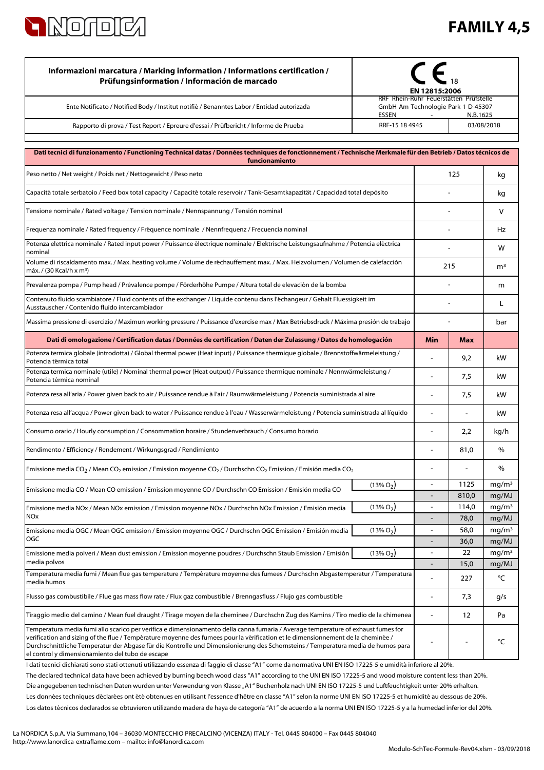

## **FAMILY 4,5**

| Informazioni marcatura / Marking information / Informations certification /<br>Prüfungsinformation / Información de marcado                                                                                                                                                                                                                                                                               | $\epsilon$<br>EN 12815:2006                                                                                                          |                                            |                |                            |
|-----------------------------------------------------------------------------------------------------------------------------------------------------------------------------------------------------------------------------------------------------------------------------------------------------------------------------------------------------------------------------------------------------------|--------------------------------------------------------------------------------------------------------------------------------------|--------------------------------------------|----------------|----------------------------|
| Ente Notificato / Notified Body / Institut notifiè / Benanntes Labor / Entidad autorizada                                                                                                                                                                                                                                                                                                                 | RRF Rhein-Ruhr Feuerstätten Prüfstelle<br>GmbH Am Technologie Park 1 D-45307<br>ESSEN<br>N.B.1625                                    |                                            |                |                            |
| Rapporto di prova / Test Report / Epreure d'essai / Prüfbericht / Informe de Prueba                                                                                                                                                                                                                                                                                                                       | RRF-15 18 4945<br>03/08/2018                                                                                                         |                                            |                |                            |
| Dati tecnici di funzionamento / Functioning Technical datas / Données techniques de fonctionnement / Technische Merkmale für den Betrieb / Datos técnicos de                                                                                                                                                                                                                                              |                                                                                                                                      |                                            |                |                            |
| funcionamiento                                                                                                                                                                                                                                                                                                                                                                                            |                                                                                                                                      |                                            |                |                            |
| Peso netto / Net weight / Poids net / Nettogewicht / Peso neto                                                                                                                                                                                                                                                                                                                                            |                                                                                                                                      | 125                                        |                | kg                         |
| Capacità totale serbatoio / Feed box total capacity / Capacité totale reservoir / Tank-Gesamtkapazität / Capacidad total depósito                                                                                                                                                                                                                                                                         |                                                                                                                                      |                                            | kg             |                            |
| Tensione nominale / Rated voltage / Tension nominale / Nennspannung / Tensión nominal                                                                                                                                                                                                                                                                                                                     |                                                                                                                                      |                                            |                | $\vee$                     |
| Frequenza nominale / Rated frequency / Fréquence nominale / Nennfrequenz / Frecuencia nominal                                                                                                                                                                                                                                                                                                             |                                                                                                                                      |                                            |                | Hz                         |
| Potenza elettrica nominale / Rated input power / Puissance électrique nominale / Elektrische Leistungsaufnahme / Potencia eléctrica<br>nominal                                                                                                                                                                                                                                                            |                                                                                                                                      |                                            |                | w                          |
| Volume di riscaldamento max. / Max. heating volume / Volume de réchauffement max. / Max. Heizvolumen / Volumen de calefacción<br>máx. / (30 Kcal/h x m <sup>3</sup> )                                                                                                                                                                                                                                     |                                                                                                                                      | 215                                        |                | m <sup>3</sup>             |
| Prevalenza pompa / Pump head / Prévalence pompe / Förderhöhe Pumpe / Altura total de elevaciòn de la bomba                                                                                                                                                                                                                                                                                                |                                                                                                                                      |                                            |                | m                          |
| Contenuto fluido scambiatore / Fluid contents of the exchanger / Liquide contenu dans l'échangeur / Gehalt Fluessigkeit im<br>Ausstauscher / Contenido fluido intercambiador                                                                                                                                                                                                                              |                                                                                                                                      |                                            |                | L                          |
|                                                                                                                                                                                                                                                                                                                                                                                                           | Massima pressione di esercizio / Maximun working pressure / Puissance d'exercise max / Max Betriebsdruck / Máxima presión de trabajo |                                            |                | bar                        |
| Dati di omologazione / Certification datas / Données de certification / Daten der Zulassung / Datos de homologación                                                                                                                                                                                                                                                                                       |                                                                                                                                      | Min                                        | <b>Max</b>     |                            |
| Potenza termica globale (introdotta) / Global thermal power (Heat input) / Puissance thermique globale / Brennstoffwärmeleistung /<br>Potencia térmica total                                                                                                                                                                                                                                              |                                                                                                                                      |                                            | 9,2            | kW                         |
| Potenza termica nominale (utile) / Nominal thermal power (Heat output) / Puissance thermique nominale / Nennwärmeleistung /<br>Potencia térmica nominal                                                                                                                                                                                                                                                   |                                                                                                                                      | $\blacksquare$                             | 7,5            | kW                         |
| Potenza resa all'aria / Power given back to air / Puissance rendue à l'air / Raumwärmeleistung / Potencia suministrada al aire                                                                                                                                                                                                                                                                            |                                                                                                                                      |                                            | 7,5            | kW                         |
| Potenza resa all'acqua / Power given back to water / Puissance rendue à l'eau / Wasserwärmeleistung / Potencia suministrada al líquido                                                                                                                                                                                                                                                                    |                                                                                                                                      |                                            |                | kW                         |
| Consumo orario / Hourly consumption / Consommation horaire / Stundenverbrauch / Consumo horario                                                                                                                                                                                                                                                                                                           |                                                                                                                                      |                                            | 2,2            | kg/h                       |
| Rendimento / Efficiency / Rendement / Wirkungsgrad / Rendimiento                                                                                                                                                                                                                                                                                                                                          |                                                                                                                                      |                                            | 81,0           | $\%$                       |
| Emissione media CO <sub>2</sub> / Mean CO <sub>2</sub> emission / Emission moyenne CO <sub>2</sub> / Durchschn CO <sub>2</sub> Emission / Emisión media CO <sub>2</sub>                                                                                                                                                                                                                                   |                                                                                                                                      | ٠                                          |                | $\%$                       |
| Emissione media CO / Mean CO emission / Emission moyenne CO / Durchschn CO Emission / Emisión media CO                                                                                                                                                                                                                                                                                                    | $(13\% O2)$                                                                                                                          | $\blacksquare$                             | 1125           | mg/m <sup>3</sup>          |
| Emissione media NOx / Mean NOx emission / Emission moyenne NOx / Durchschn NOx Emission / Emisión media                                                                                                                                                                                                                                                                                                   | $(13\% O2)$                                                                                                                          | $\overline{\phantom{a}}$<br>$\blacksquare$ | 810,0<br>114,0 | mg/MJ<br>mg/m <sup>3</sup> |
| NOx                                                                                                                                                                                                                                                                                                                                                                                                       |                                                                                                                                      |                                            | 78,0           | mg/MJ                      |
| Emissione media OGC / Mean OGC emission / Emission moyenne OGC / Durchschn OGC Emission / Emisión media                                                                                                                                                                                                                                                                                                   | $(13\% O2)$                                                                                                                          | $\qquad \qquad \blacksquare$               | 58,0           | mg/m <sup>3</sup>          |
| OGC                                                                                                                                                                                                                                                                                                                                                                                                       |                                                                                                                                      |                                            | 36,0           | mg/MJ                      |
| Emissione media polveri / Mean dust emission / Emission moyenne poudres / Durchschn Staub Emission / Emisión                                                                                                                                                                                                                                                                                              | $(13\% O2)$                                                                                                                          |                                            | 22             | mq/m <sup>3</sup>          |
| media polvos                                                                                                                                                                                                                                                                                                                                                                                              |                                                                                                                                      |                                            | 15,0           | mg/MJ                      |
| Temperatura media fumi / Mean flue gas temperature / Température moyenne des fumees / Durchschn Abgastemperatur / Temperatura<br>media humos                                                                                                                                                                                                                                                              |                                                                                                                                      |                                            | 227            | °C                         |
| Flusso gas combustibile / Flue gas mass flow rate / Flux gaz combustible / Brenngasfluss / Flujo gas combustible                                                                                                                                                                                                                                                                                          |                                                                                                                                      |                                            | 7,3            | g/s                        |
| Tiraggio medio del camino / Mean fuel draught / Tirage moyen de la cheminee / Durchschn Zug des Kamins / Tiro medio de la chimenea                                                                                                                                                                                                                                                                        |                                                                                                                                      |                                            | 12             | Pa                         |
| Temperatura media fumi allo scarico per verifica e dimensionamento della canna fumaria / Average temperature of exhaust fumes for<br>verification and sizing of the flue / Température moyenne des fumees pour la vérification et le dimensionnement de la cheminée /<br>Durchschnittliche Temperatur der Abgase für die Kontrolle und Dimensionierung des Schornsteins / Temperatura media de humos para |                                                                                                                                      |                                            |                | °C                         |

I dati tecnici dichiarati sono stati ottenuti utilizzando essenza di faggio di classe "A1" come da normativa UNI EN ISO 17225-5 e umidità inferiore al 20%.

Les données techniques déclarées ont été obtenues en utilisant l'essence d'hêtre en classe "A1" selon la norme UNI EN ISO 17225-5 et humidité au dessous de 20%. Die angegebenen technischen Daten wurden unter Verwendung von Klasse "A1" Buchenholz nach UNI EN ISO 17225-5 und Luftfeuchtigkeit unter 20% erhalten. The declared technical data have been achieved by burning beech wood class "A1" according to the UNI EN ISO 17225-5 and wood moisture content less than 20%.

Los datos técnicos declarados se obtuvieron utilizando madera de haya de categoría "A1" de acuerdo a la norma UNI EN ISO 17225-5 y a la humedad inferior del 20%.

el control y dimensionamiento del tubo de escape